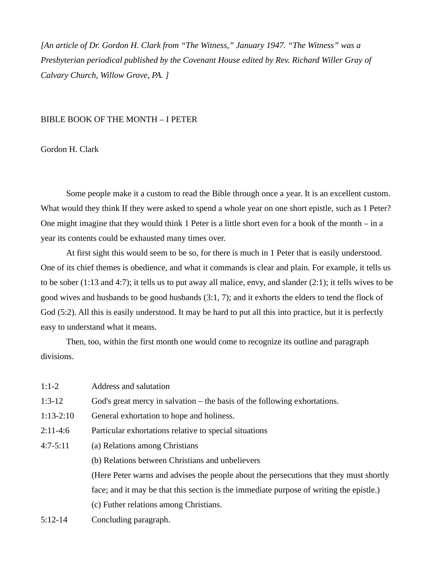*[An article of Dr. Gordon H. Clark from "The Witness," January 1947. "The Witness" was a Presbyterian periodical published by the Covenant House edited by Rev. Richard Willer Gray of Calvary Church, Willow Grove, PA. ]*

## BIBLE BOOK OF THE MONTH – I PETER

## Gordon H. Clark

Some people make it a custom to read the Bible through once a year. It is an excellent custom. What would they think If they were asked to spend a whole year on one short epistle, such as 1 Peter? One might imagine that they would think 1 Peter is a little short even for a book of the month – in a year its contents could be exhausted many times over.

At first sight this would seem to be so, for there is much in 1 Peter that is easily understood. One of its chief themes is obedience, and what it commands is clear and plain. For example, it tells us to be sober (1:13 and 4:7); it tells us to put away all malice, envy, and slander (2:1); it tells wives to be good wives and husbands to be good husbands (3:1, 7); and it exhorts the elders to tend the flock of God (5:2). All this is easily understood. It may be hard to put all this into practice, but it is perfectly easy to understand what it means.

Then, too, within the first month one would come to recognize its outline and paragraph divisions.

| $1:1-2$     | Address and salutation                                                                  |
|-------------|-----------------------------------------------------------------------------------------|
| $1:3-12$    | God's great mercy in salvation $-$ the basis of the following exhortations.             |
| $1:13-2:10$ | General exhortation to hope and holiness.                                               |
| 2:11-4:6    | Particular exhortations relative to special situations                                  |
| 4:7-5:11    | (a) Relations among Christians                                                          |
|             | (b) Relations between Christians and unbelievers                                        |
|             | (Here Peter warns and advises the people about the persecutions that they must shortly  |
|             | face; and it may be that this section is the immediate purpose of writing the epistle.) |
|             | (c) Futher relations among Christians.                                                  |
| $5:12-14$   | Concluding paragraph.                                                                   |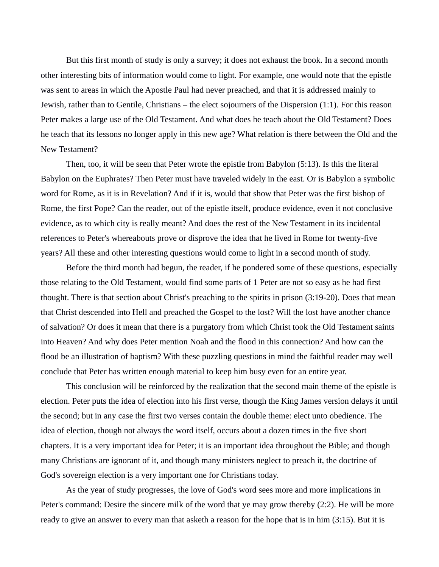But this first month of study is only a survey; it does not exhaust the book. In a second month other interesting bits of information would come to light. For example, one would note that the epistle was sent to areas in which the Apostle Paul had never preached, and that it is addressed mainly to Jewish, rather than to Gentile, Christians – the elect sojourners of the Dispersion (1:1). For this reason Peter makes a large use of the Old Testament. And what does he teach about the Old Testament? Does he teach that its lessons no longer apply in this new age? What relation is there between the Old and the New Testament?

Then, too, it will be seen that Peter wrote the epistle from Babylon (5:13). Is this the literal Babylon on the Euphrates? Then Peter must have traveled widely in the east. Or is Babylon a symbolic word for Rome, as it is in Revelation? And if it is, would that show that Peter was the first bishop of Rome, the first Pope? Can the reader, out of the epistle itself, produce evidence, even it not conclusive evidence, as to which city is really meant? And does the rest of the New Testament in its incidental references to Peter's whereabouts prove or disprove the idea that he lived in Rome for twenty-five years? All these and other interesting questions would come to light in a second month of study.

Before the third month had begun, the reader, if he pondered some of these questions, especially those relating to the Old Testament, would find some parts of 1 Peter are not so easy as he had first thought. There is that section about Christ's preaching to the spirits in prison (3:19-20). Does that mean that Christ descended into Hell and preached the Gospel to the lost? Will the lost have another chance of salvation? Or does it mean that there is a purgatory from which Christ took the Old Testament saints into Heaven? And why does Peter mention Noah and the flood in this connection? And how can the flood be an illustration of baptism? With these puzzling questions in mind the faithful reader may well conclude that Peter has written enough material to keep him busy even for an entire year.

This conclusion will be reinforced by the realization that the second main theme of the epistle is election. Peter puts the idea of election into his first verse, though the King James version delays it until the second; but in any case the first two verses contain the double theme: elect unto obedience. The idea of election, though not always the word itself, occurs about a dozen times in the five short chapters. It is a very important idea for Peter; it is an important idea throughout the Bible; and though many Christians are ignorant of it, and though many ministers neglect to preach it, the doctrine of God's sovereign election is a very important one for Christians today.

As the year of study progresses, the love of God's word sees more and more implications in Peter's command: Desire the sincere milk of the word that ye may grow thereby (2:2). He will be more ready to give an answer to every man that asketh a reason for the hope that is in him (3:15). But it is